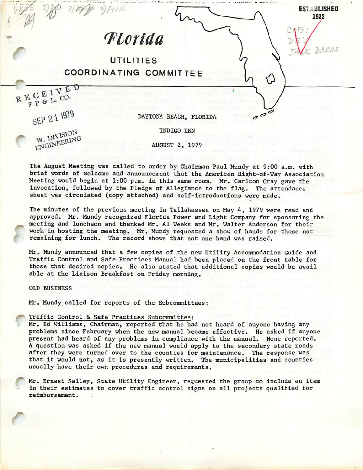ESTABLISHED<br>1932 Tiorida UTILITIES COORDINATING COMMITTEE RECEIVED  $E$   $C$   $E$   $L$   $CO$ . SEP 21 1979 DAYTONA BEACH, FLORIDA c

INDIGO INN

W. DIVISION<br>ENGINEERING

AUGUST 2, 1979

The August Meeting was called to order by Chairman Paul Mundy at 9:00 a.m. with brief words of welcome and announcement that the American Right-of-Way Association Meeting would begin at 1:00 p.m. in this same room. Mr, Carlton Gray gave the invocation, followed by the Pledge of Allegiance to the flag. The attendance sheet was circulated (copy attached) and self-introductions were made.

The minutes of the previous meeting in Tallahassee on May 4, 1979 were read and approved. Mr. Mundy recognized Florida Power and Light Company for sponsoring the meeting and luncheon and thanked Mr. A1 Weeks and Mr. Walter Anderson for their work in hosting the meeting. Mr. Mundy requested a show of hands for those not remaining for lunch. The record shows that not one hand was raised.

Mr, Mundy announced that a few copies of the new Utility Accommodation Guide and Traffic Control and safe Practices Manual had been placed on the front table for those that desired copies. He also stated that additional copies would be avail able at the Liaison Breakfast on Friday morning.

OLD BUSINESS

r

r

Mr. Mundy called for reports of the Subcommittees:

# Traffic Control & Safe Practices Subcomnittee:

Mr, Ed Williams, Chairman, reported that he had not heard of anyone having any problems since February when the new manual became effective. He asked if anyone present had heard of any problems in compliance with the manual. None reported. A question was asked if the new manual would apply to the secondary state roads after they were turned over to the counties for maintenance. The response was that it would not, as it is presently written. The municipalities and counties usually have their own procedures and requirements.

Mr. Ernest Salley, State Utility Engineer, requested the group to include an item in their estimates to cover traffic control signs on all projects qualified for reimbursement.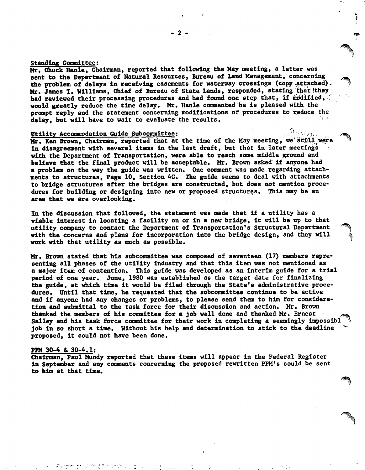# standing Committee;

Mr. Chuck Hanle, Chairman, reported that following the May meeting, a letter was sent to the Department of Natural Resources, Bureau of Land Management, concerning the problem of delays In receiving easements for waterway crossings (copy attached). Mr. James T. Williams, Chief of Bureau of State Lands, responded, stating that they had reviewed their processing procedures and had found one step that, if modified, would greatly reduce the time delay. Mr. Hanle commented he is pleased with the prompt reply and the statement concerning modifications of procedures to reduce the delay, but will have to wait to evaluate the results.

### Utility Accommodation Guide Subcommittee:

Mr. Ken Brown, Chairman, reported that at the time of the May meeting, we'still were in disagreement with several Items In the last draft, but that In later meetings with the Department of Transportation, were able to reach some middle ground and believe that the final product will be acceptable. Mr. Brown asked If anyone had a problem on the way the guide was written. One comment was made regarding attach ments to structures, Page 10, Section 4C. The guide seems to deal with attachments to bridge structures after the bridges are constructed, but does not mention proce dures for building or designing Into new or proposed structures. This may be an area that we are overlooking.

In the discussion that followed, the statement was made that If a utility has a viable interest in locating a facility on or in a new bridge, it will be up to that utility company to contact the Department of Transportation's Structural Department with the concerns and plans for Incorporation Into the bridge design, and they will work with that utility as much as possible.

Mr. Brown stated that his subcommittee was composed of seventeen (17) members representing all phases of the utility industry and that this item was not mentioned as a major Item of contention. This guide was developed as an Interim guide for a trial period of one year. June, 1980 was established as the target date for finalizing the guide, at which time It would be filed through the State's administrative proce dures. Until that time, he requested that the subcomnlttee continue to be active and if anyone had any changes or problems, to please send them to him for considera tion and submittal to the task force for their discussion and action. Mr. Brown thanked the members of his committee for a job well done and thanked Mr. Ernest Salley and his task force committee for their work in completing a seemingly impossibl job In so short a time. Without his help and determination to stick to the deadline proposed, it could not have been done.

#### PPM 30-4 & 30-4.1;

Chairman, Paul Mundy reported that these Items will appear In the Federal Register in September and any conments concerning the proposed rewritten PPM's could be sent to him at that time.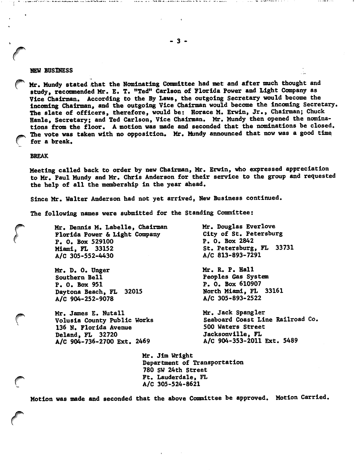### NEW BUSINESS

Mr. Mundy stated that the Nominating Committee had met and after much thought and study, recomnended Mr. E. T. "Ted" Carlson of Florida Power and Light Company as Vice Chairman. According to the By Laws, the outgoing Secretary would become the Incoming Chairman, and the outgoing Vice Chairman would become the Incoming Secretary, The slate of officers, therefore, would be; Horace M. Erwln, Jr., Chairman; Chuck Hanle, Secretary; and Ted Carlson, Vice Chairman. Mr. Mundy then opened the nomina tions from the floor. A motion was made and seconded that the nominations be closed. The vote was taken with no opposition. Mr. Mundy announced that now was a good time for a break.

### BREAK

Meeting called back to order by new Chairman, Mr. Erwln, who expressed appreciation to Mr. Paul Mundy and Mr. Chris Anderson for their service to the group and requested the help of all the membership In the year ahead.

Since Mr. Walter Anderson had not yet arrived, New Business continued.

The following names were submitted for the Standing Committee:

Mr. Dennis M. Labelle, Chairman Florida Power & Light Company P. 0. Box 529100 Miami, FL 33152 A/C 305-552-4430

Mr. D. 0. Unger Southern Bell P. 0. Box 951 Daytona Beach, FL 32015 A/C 904-252-9078

Mr. James E. Nutall Volusla County Public Works 136 N. Florida Avenue Deland, FL 32720 A/C 904-736-2700 Ext. 2469

Mr. Douglas Everlove City of St. Petersburg P. 0. Box 2842 St. Petersburg, FL 33731 A/C 813-893-7291

the companion of the state of the companion

Mr. R. P. Hall Peoples Gas System P. 0. Box 610907 North Miami, FL 33161 A/C 305-893-2522

Mr. Jack Spangler Seaboard Coast Line Railroad Co. 500 Waters Street Jacksonville, FL A/C 904-353-2011 Ext. 5489

Mr. Jim Wright Department of Transportation 780 SW 24th Street Ft. Lauderdale, FL A/C 305-524-8621

Motion was made and seconded that the above Conmlttee be approved. Motion Carried,

a d'a cier a souvent a de la cierció com a associ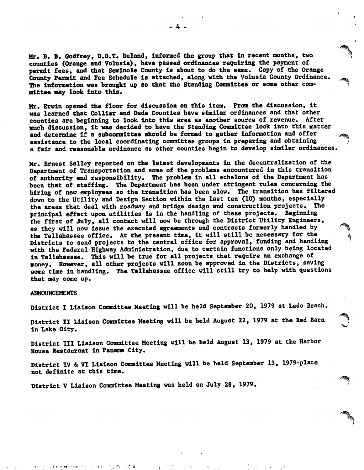Mr. B. B. Godfrey, D.O.T. Deland, Infomed the group that in recent months, two counties (Orange and Volusla), have passed ordinances requiring the payment of permit fees, and that Semlnole County Is about to do the same. Copy of the Orange County Permit and Fee Schedule Is attached, along with the Volusla County Ordinance. The information was brought up so that the Standing Committee or some other committee may look Into this.

Mr. Erwln opened the floor for discussion on this Item. From the discussion. It was learned that Collier and Dade Counties have similar ordinances and that other counties are beginning to look Into this area as another source of revenue. After much discussion. It was decided to have the Standing Conmlttee look Into this matter and determine if a subcommittee should be formed to gather information and offer assistance to the local coordinating conmlttee groups In preparing and obtaining a fair and reasonable ordinance as other counties begin to develop similar ordinances.

Mr. Ernest Salley reported on the latest developments In the decentralization of the Department of Transportation and some of the problems encountered In this transition of authority and responsibility. The problem In all echelons of the Department has been that of staffing. The Department has been under stringent rules concerning the hiring of new employees so the transition has been slow. The transition has filtered down to the Utility and Design Section within the last ten (10) months, especially the areas that deal with roadway and bridge design and construction projects. The principal effect upon utilities Is In the handling of these projects. Beginning the first of July, all contact will now be through the District Utility Engineers, as they will now Issue the executed agreements and contracts formerly handled by the Tallahassee office. At the present time, it will still be necessary for the Districts to send projects to the central office for approval, funding and handling with the Federal Highway Administration, due to certain functions only being located In Tallahassee. This will be true for all projects that require an exchange of money. However, all other projects will soon be approved In the Districts, saving some time In handling. The Tallahassee office will still try to help with questions that may come up.

#### **ANNOUNCEMENTS**

District I Liaison Committee Meeting will be held September 20, 1979 at Ledo Beach.

District II Liaison Conmlttee Meeting will be held August 22, 1979 at the Red Barn In Lake City.

District III Liaison Conmlttee Meeting will be held August 13, 1979 at the Harbor House Restaurant In Panama City.

District IV & VI Liaison Conmlttee Meeting will be held September 13, 1979-place not definite at this time.

District V Liaison Committee Meeting was held on July 28, 1979.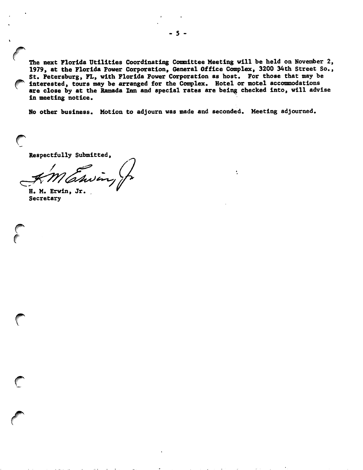The next Florida Utilities Coordinating Committee Meeting will be held on November 2, 1979, at the Florida Power Corporation, General Office Complex, 3200 34th Street So., St. Petersburg, FL, with Florida Power Corporation as host. For those that may be interested, tours may be arranged for the Complex. Hotel or motel accommodations are close by at the Ramada Inn and special rates are being checked Into, will advise In meeting notice.

۰.

No other business. Motion to adjourn was made and seconded. Meeting adjourned.

Respectfully Submitted,

/

H. M. Erwln, Jr. Secretary

 $\bigcirc$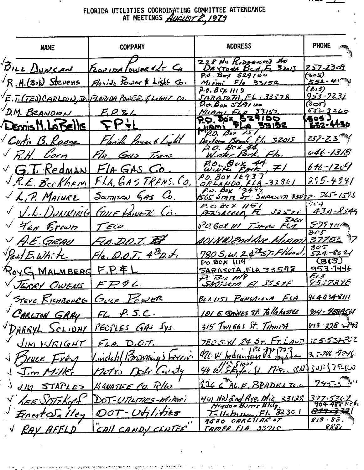# FLORIDA UTILITIES COORDINATING COMMITTEE ATTENDANCE<br>AT MEETINGS *AUGUST 2, 1979*

| <b>NAME</b>                | <b>COMPANY</b>                                                                         | <b>ADDRESS</b>                                                                                   | <b>PHONE</b>                 |
|----------------------------|----------------------------------------------------------------------------------------|--------------------------------------------------------------------------------------------------|------------------------------|
|                            | BILL DUNCAN FLORIDA TOWER of TG                                                        | ZZ8 Nu KiDSENGO AU<br>DAYTONA BEA, E 32015<br>P.O. Box 529100                                    | <u> 252-2309</u>             |
| $\neg R.H.(Bob) Stevens$   | Florida Power & Light Co.                                                              | $M_{12m}$ ; $F/3$ 33/52                                                                          | (૩૦૬)<br><u>552-41</u>       |
|                            | $\sqrt{\vec{E}\cdot\vec{l}\cdot(T\vec{e})}\,C}$ ARLSON, JR. (FLORIDA POWER & LIGHT CU. | $P \cdot 0.$ B $C \times 1119$<br>SAYAJOTHFL.33578                                               | (E13)<br><u>953 - 7237</u>   |
| D.M. BRANDON               | F.P.81                                                                                 | $D.\sigma$ . Box 519100<br>$M$ IAML $E_{LA}$ 33152                                               | (3యి)<br>552-3260            |
| Demis M. LABELLE           | <b>SP+L</b>                                                                            | 20. Dox 529100                                                                                   | 505)<br><u> 252-4430</u>     |
| Curtis B. Roome            | Florida Power & Light                                                                  | P.D. BOX 151<br>Partona Beach, Fla 32015                                                         | <u>257-25</u>                |
| $\sqrt{R.H.}$ Corn         | Fla. Gas Trans                                                                         | p.O. Box 44.<br>Winter Park, Fla.                                                                | 446 <u>- 1318</u>            |
| $\vee$ G.T. Redman $\perp$ | $F/A GAS$ $Co$ .                                                                       | P.O. BOX 44, 7                                                                                   | $646 - 12c$                  |
| J.R.E. Beckham             | FLA, GASTRANS. CO.                                                                     | PO. 308 16937<br><u>ORLANDO FLA-32861</u>                                                        | 295.4341                     |
| $\sqrt{L.P.}$ Maiure       | $Sovn$ ica $645$ Co.                                                                   | $60.60x$ 3447<br>1545 SMTZ ST. SARASCTA 335-12. 365-1585                                         |                              |
|                            | V.L. DUNNING GOVE POWER CO.                                                            | P. C. BEX 1151<br>PRISACCIA FL 32520                                                             | $i \in I$<br><u>43d-8544</u> |
| V 4en Brown                | $T$ ECU                                                                                | SIGN 111 TIMP: FCA                                                                               | 57541                        |
| V A.E.GRAU                 | FLA. D.O.T. IF                                                                         | <u>401 NU 2nd Ave Mam 3775 = 1</u> 7                                                             | ろへら                          |
| Paul E. White              | $F/a$ , D.O.T. $4^{\underline{72}}$ D.J.                                               | 780 S, W, 24 <sup>22</sup> 57, Flood,                                                            | $305$<br>524-8621            |
| RoyG MALMBERG F.P. EL      |                                                                                        | PO.BOX 1119<br>SARASOTA, FLA 33578                                                               | (813)<br>953.7446            |
| V JERRY OWENS              | FPPIL                                                                                  | $\overline{\mathcal{P}}$ $\overline{\mathcal{B}}$ $\mathcal{H}$ $\mathcal{H}$<br>Skijsem A 33578 | E i 3<br><u>955739E</u>      |
|                            | STEVE RICHBOUCG GULF POWER                                                             | BEX 1151 PENSACELA FLA 9644348111                                                                |                              |
| CARLTON GRAY               | <u>FL, P.S.C.</u>                                                                      | <u>101 G GANES ST. Tollahossee</u>                                                               | <u>904 - 48885</u> 01        |
| DHERYL SCLIDHY             | PECPLES GAS Sys.                                                                       | 315 Twichs St. Timmpa                                                                            | 813 - 228 - 243              |
| <u>JIM WRIGHT</u>          | $FLA$ , D.C.T.                                                                         | 780 S.W 24 ST. FT. LAUP                                                                          | <u> १८५.८६५.९</u> १८         |
|                            | indahl Brownings Ferrive                                                               | $420W$ Indiantern da ruit                                                                        | 345-746-9248                 |
| <u>Jim Miller</u>          | $D = \int r^2$<br><u>netro</u>                                                         | $44 \mu$ . Skale: (1. 17:0. $\frac{12}{3}$ } 303 } 75-500                                        |                              |
| <u>JIM STAPLES</u>         | KANATEE CO. RU                                                                         | 226 C ALE BRADESTER                                                                              | $745 - 47$                   |
| KEE VITTEKOG               | DOT-UTILITIES-MINAI                                                                    | 401 NW 2nd Ave. Mig 33128 377-5367                                                               |                              |
| <u>Ernest Qalley</u>       | -Utilities                                                                             | Hayden Burrs Blag.<br>$\frac{75115h_1g_2}{r}$ , Fl. 32301                                        | 823-37-27                    |
| RAY AFFLD                  | CAIL CANDY CENTER                                                                      | 4520 ORKESIAR ST<br>TAMPA FIA 3371C                                                              | 813.85.<br><u>8881 </u>      |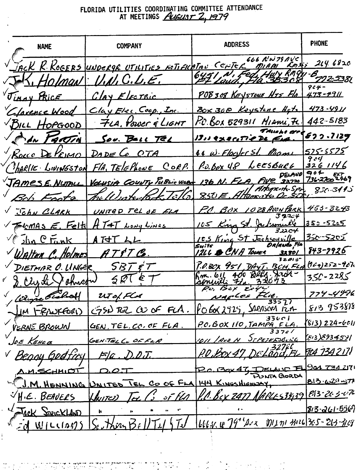# FLORIDA UTILITIES COORDINATING COMMITTEE ATTENDANCE<br>AT MEETINGS *AUGUST* Z, 1979

| <b>NAME</b>                             | <b>COMPANY</b>                                     | <b>ADDRESS</b>                                                                             | <b>PHONE</b>                                |
|-----------------------------------------|----------------------------------------------------|--------------------------------------------------------------------------------------------|---------------------------------------------|
|                                         |                                                    | 666 NW 79 AVC<br>JACK R. KOGERS UNDERGE UTILITIES NOTIFICATION CENTER MIAMI ROOMS 244 6820 |                                             |
|                                         | J.K. Holman V.N.C.L.E.                             | 6451 N, F                                                                                  | $964 -$                                     |
| Jimay PRICE                             | $ClayE$ <sub><math>\epsilon</math></sub> rric      | POB308 KEYSTONE HTS FIN 473-4911                                                           |                                             |
|                                         | Clarence Wood Clay Elec. Coop., Inc.               | Box 308 Keystone Hets                                                                      | 473-4911                                    |
| BILL HOPGOOD                            | 7LA, Power & LIGHT                                 | $R$ C. BOX 529311 MIAni, Fe.                                                               | 442.5183                                    |
|                                         | Sov. Ball Tel TEL                                  | 13,1 executive De Era.                                                                     | 522.7129                                    |
|                                         | Rocco De Vermo DADE Co OTA                         | 44 W. Floyter St. Manu                                                                     | 525-5575<br>904                             |
|                                         | CHARLIE LIVINGSTON FIA, TELEPHONE CORP.            | P.O. box 48 LEESBURG                                                                       | 3261146                                     |
|                                         | TAMESE NUTALL VOLUSIA COUNTY PUBLIC WORK           | DELAND<br>136 N. FLA, FWC 32720                                                            | 736-2700 2469<br>850.3415                   |
| Beb Foote                               | The Westerland Tal                                 | $850E$ . Altan                                                                             |                                             |
| John CLARK                              | UNITED TEL OF FLA                                  | P.C. BOX 1028 ANON PARK 453-3243                                                           |                                             |
|                                         | FICMAS E. Felts AT4T Long Lines                    | 105 King St. Ju<br>32204                                                                   | 350-5225                                    |
| $\sqrt{\int ln C}$ $\frac{1}{2}$ $ln A$ | ATT LL                                             | 105 King St Jacksonville<br>do Fia                                                         | <u>350-5205 </u>                            |
|                                         | Walten C. Holmes AT&T C.                           | <u>12LL &amp; CNA Tower</u>                                                                | <u>843-7926</u>                             |
|                                         | DIETMAR O. LINGER SBT &T                           | F.O.BOX 451 DAYT. BCH.FLA<br>400 Belly Juin -                                              | $(964)252 - 967$<br>$350 - 2285$            |
|                                         | B. Clyde Johnson SET ET                            |                                                                                            | $774 - 4996$                                |
| Wine Scotlatt                           | UTOLFLA                                            | the.<br>NAGLES<br>33577                                                                    | 813 953878                                  |
| -RANKFORI)<br>jм                        | $GSD$ Tel $CDO$ of FLA.                            | $POS \times 2925$ , SARASCA<br>にル<br>ろろにへろ                                                 |                                             |
| VERNE BROWN                             | GEN, TEL. CO. OF FLA.                              | P.C. BOX 110, TAMPA FLA.                                                                   | '813) 224 <i>-</i> 6011<br>[813]E9345'Il    |
| loe Kence                               | GEN. TELL. OF FLA                                  | <u>JTPEJEFSBOLL</u><br>'Ave N                                                              | <u>FICA 734217</u> 1                        |
| Seogy Godfi                             | FIG                                                | P.O.Box<br>FL                                                                              |                                             |
| A.M.SCHMIOT                             |                                                    | ITA GORDA                                                                                  | <u>901 731 21</u> 71<br><u> 813.620.571</u> |
|                                         | I.M. HENNING DNITED TEL CO OF FLA 144 KINGSHIENSAY | <u>1.0. BCX 2477 AMPLES3439 P.B. 203076</u>                                                |                                             |
| H·E. BEAUELS                            | <u>st flat</u><br><u> Unite)</u>                   |                                                                                            | <u> 813-261-55</u> 69                       |
| Jack STRICKLAND                         |                                                    |                                                                                            |                                             |
| WILLIAM?                                | <u>Min</u>                                         |                                                                                            |                                             |

 $\mathcal{O}(\mathcal{S})$ e de la companya de la companya de la companya del companya del companya del companya del companya del company<br>La companya del companya del companya del companya del companya del companya del companya del companya del com l.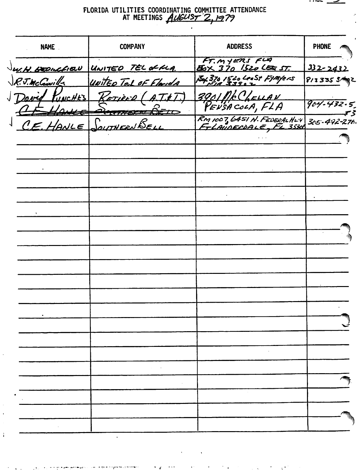# FLORIDA UTILITIES COORDINATING COMMITTEE ATTENDANCE<br>AT MEETINGS AUGUST 2,1979

| <b>NAME</b>          | <b>COMPANY</b>                                                  | <b>ADDRESS</b>                               | <b>PHONE</b>      |
|----------------------|-----------------------------------------------------------------|----------------------------------------------|-------------------|
|                      | W.H. BEDICFIEU UNITED TEL OF FLA.                               | FT. MYERS FLA<br><b>BOX 370 1520 LEE ST.</b> | 332-2432          |
| R.J.McCowill         | United Tel of Florida                                           | Ex 370 1520 LeeSt FJMYERS<br>FIA 3390 Z      | $8/33355$ $5$ /   |
| Dover PUNCHES<br>ka€ | $K$ <i>etière</i> (A.T.E.T.)<br><b>PERTHERNE DE</b><br>$\tau c$ | 3901 PR CLELLAN<br>PENSACOLA, FLA            | $904 - 432.5$     |
| CEHANCE              | SOUTHERNBELL                                                    | $R$ M 1007, 6451 N. FEDERALHUT               | $305 - 492 - 276$ |
|                      |                                                                 |                                              |                   |
|                      |                                                                 |                                              |                   |
|                      |                                                                 |                                              |                   |
|                      |                                                                 |                                              |                   |
|                      |                                                                 |                                              |                   |
|                      |                                                                 |                                              |                   |
|                      |                                                                 |                                              |                   |
|                      |                                                                 |                                              |                   |
|                      |                                                                 |                                              |                   |
|                      |                                                                 |                                              |                   |
|                      |                                                                 |                                              |                   |
|                      |                                                                 |                                              |                   |
|                      |                                                                 |                                              |                   |
|                      |                                                                 |                                              |                   |
|                      |                                                                 |                                              |                   |
|                      |                                                                 |                                              |                   |
|                      |                                                                 |                                              |                   |
|                      |                                                                 |                                              |                   |
|                      |                                                                 |                                              |                   |
|                      |                                                                 |                                              |                   |
|                      |                                                                 |                                              |                   |

 $\mathbf{r}$